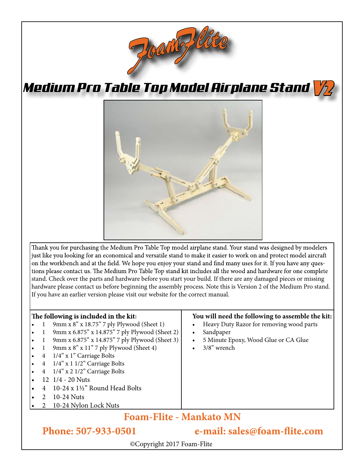

*Medium Pro Table Top Model Airplane Stand*



Thank you for purchasing the Medium Pro Table Top model airplane stand. Your stand was designed by modelers just like you looking for an economical and versatile stand to make it easier to work on and protect model aircraft on the workbench and at the field. We hope you enjoy your stand and find many uses for it. If you have any questions please contact us. The Medium Pro Table Top stand kit includes all the wood and hardware for one complete stand. Check over the parts and hardware before you start your build. If there are any damaged pieces or missing hardware please contact us before beginning the assembly process. Note this is Version 2 of the Medium Pro stand. If you have an earlier version please visit our website for the correct manual.

## The following is included in the kit:

- 1 9mm x 8" x 18.75" 7 ply Plywood (Sheet 1)
- 9mm x 6.875" x 14.875" 7 ply Plywood (Sheet 2)
- 1 9mm x 6.875" x 14.875" 7 ply Plywood (Sheet 3)
- 1 9mm x  $8"$  x 11" 7 ply Plywood (Sheet 4)
- 4 1/4" x 1" Carriage Bolts
- 4  $1/4$ " x 1  $1/2$ " Carriage Bolts
- 4 1/4" x 2 1/2" Carriage Bolts
- 12 1/4 20 Nuts
- 4 10-24 x  $1\frac{1}{2}$ " Round Head Bolts
- 2 10-24 Nuts
- 2 10-24 Nylon Lock Nuts

## **You will need the following to assemble the kit:**

 $V/2$ 

- Heavy Duty Razor for removing wood parts
- Sandpaper
- 5 Minute Epoxy, Wood Glue or CA Glue
- 3/8" wrench

## **Foam-Flite - Mankato MN**

Phone: 507-933-0501

e-mail: sales@foam-flite.com

©Copyright 2017 Foam-Flite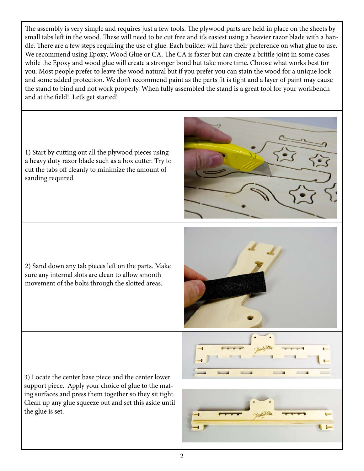The assembly is very simple and requires just a few tools. The plywood parts are held in place on the sheets by small tabs left in the wood. These will need to be cut free and it's easiest using a heavier razor blade with a handle. There are a few steps requiring the use of glue. Each builder will have their preference on what glue to use. We recommend using Epoxy, Wood Glue or CA. The CA is faster but can create a brittle joint in some cases while the Epoxy and wood glue will create a stronger bond but take more time. Choose what works best for you. Most people prefer to leave the wood natural but if you prefer you can stain the wood for a unique look and some added protection. We don't recommend paint as the parts fit is tight and a layer of paint may cause the stand to bind and not work properly. When fully assembled the stand is a great tool for your workbench and at the field! Let's get started!

1) Start by cutting out all the plywood pieces using a heavy duty razor blade such as a box cutter. Try to cut the tabs off cleanly to minimize the amount of sanding required. 2) Sand down any tab pieces left on the parts. Make sure any internal slots are clean to allow smooth movement of the bolts through the slotted areas. 3) Locate the center base piece and the center lower support piece. Apply your choice of glue to the mating surfaces and press them together so they sit tight. Clean up any glue squeeze out and set this aside until

 $\epsilon$ 

the glue is set.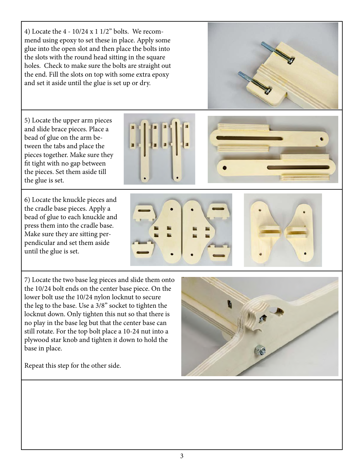4) Locate the 4 - 10/24 x 1 1/2" bolts. We recommend using epoxy to set these in place. Apply some glue into the open slot and then place the bolts into the slots with the round head sitting in the square holes. Check to make sure the bolts are straight out the end. Fill the slots on top with some extra epoxy and set it aside until the glue is set up or dry.

5) Locate the upper arm pieces and slide brace pieces. Place a bead of glue on the arm between the tabs and place the pieces together. Make sure they fit tight with no gap between the pieces. Set them aside till the glue is set.

6) Locate the knuckle pieces and the cradle base pieces. Apply a bead of glue to each knuckle and press them into the cradle base. Make sure they are sitting perpendicular and set them aside until the glue is set.

7) Locate the two base leg pieces and slide them onto the 10/24 bolt ends on the center base piece. On the lower bolt use the 10/24 nylon locknut to secure the leg to the base. Use a 3/8" socket to tighten the locknut down. Only tighten this nut so that there is no play in the base leg but that the center base can still rotate. For the top bolt place a 10-24 nut into a plywood star knob and tighten it down to hold the base in place.

Repeat this step for the other side.









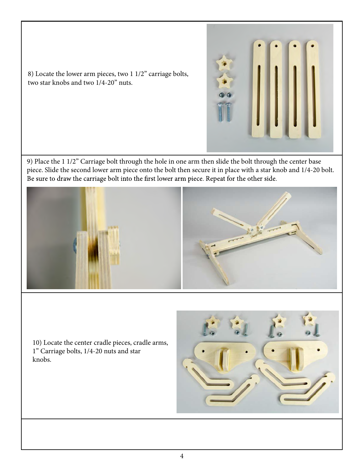

8) Locate the lower arm pieces, two 1 1/2" carriage bolts, two star knobs and two 1/4-20" nuts.

9) Place the 1 1/2" Carriage bolt through the hole in one arm then slide the bolt through the center base piece. Slide the second lower arm piece onto the bolt then secure it in place with a star knob and 1/4-20 bolt.<br>Be sure to draw the carriage bolt into the first lower arm piece. Repeat for the other side.



10) Locate the center cradle pieces, cradle arms, 1" Carriage bolts, 1/4-20 nuts and star knobs.

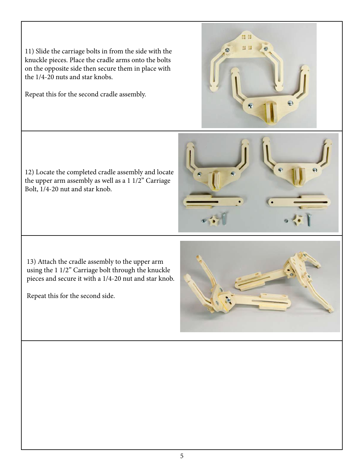11) Slide the carriage bolts in from the side with the knuckle pieces. Place the cradle arms onto the bolts on the opposite side then secure them in place with the 1/4-20 nuts and star knobs.

Repeat this for the second cradle assembly.

12) Locate the completed cradle assembly and locate the upper arm assembly as well as a 1 1/2" Carriage Bolt, 1/4-20 nut and star knob.

13) Attach the cradle assembly to the upper arm using the 1 1/2" Carriage bolt through the knuckle pieces and secure it with a 1/4-20 nut and star knob.

Repeat this for the second side.



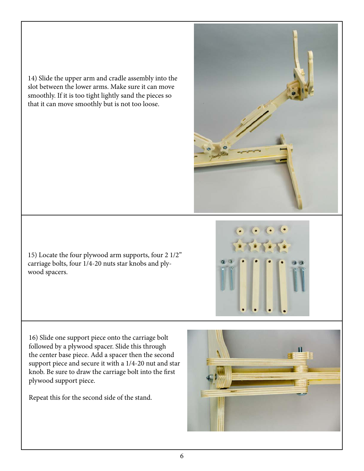14) Slide the upper arm and cradle assembly into the slot between the lower arms. Make sure it can move smoothly. If it is too tight lightly sand the pieces so that it can move smoothly but is not too loose.

15) Locate the four plywood arm supports, four 2 1/2" carriage bolts, four 1/4-20 nuts star knobs and plywood spacers.

16) Slide one support piece onto the carriage bolt followed by a plywood spacer. Slide this through the center base piece. Add a spacer then the second support piece and secure it with a 1/4-20 nut and star knob. Be sure to draw the carriage bolt into the first plywood support piece.

Repeat this for the second side of the stand.